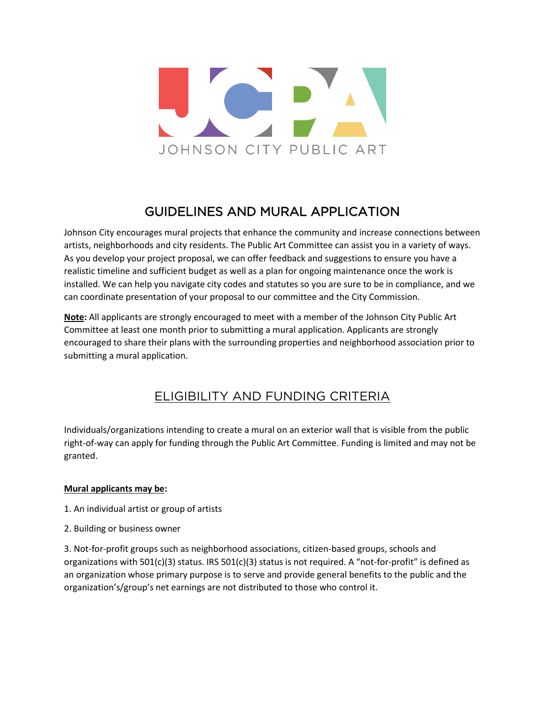

## **GUIDELINES AND MURAL APPLICATION** GUIDELINES AND MURAL APPLICATION

Johnson City encourages mural projects that enhance the community and increase connections between artists, neighborhoods and city residents. The Public Art Committee can assist you in a variety of ways. As you develop your project proposal, we can offer feedback and suggestions to ensure you have a realistic timeline and sufficient budget as well as a plan for ongoing maintenance once the work is installed. We can help you navigate city codes and statutes so you are sure to be in compliance, and we can coordinate presentation of your proposal to our committee and the City Commission.

**Note:** All applicants are strongly encouraged to meet with a member of the Johnson City Public Art Committee at least one month prior to submitting a mural application. Applicants are strongly encouraged to share their plans with the surrounding properties and neighborhood association prior to submitting a mural application.

# ELIGIBILITY AND FUNDING CRITERIAL CONTRACTOR CONTRACTOR

Individuals/organizations intending to create a mural on an exterior wall that is visible from the public right-of-way can apply for funding through the Public Art Committee. Funding is limited and may not be granted.

### **Mural applicants may be:**

- 1. An individual artist or group of artists
- 2. Building or business owner

3. Not-for-profit groups such as neighborhood associations, citizen-based groups, schools and organizations with 501(c)(3) status. IRS 501(c)(3) status is not required. A "not-for-profit" is defined as an organization whose primary purpose is to serve and provide general benefits to the public and the organization's/group's net earnings are not distributed to those who control it.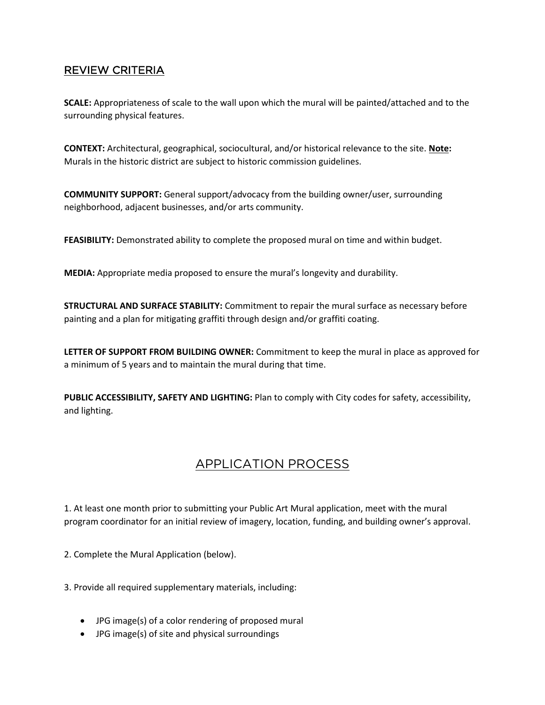# <u>REVIEW CAR TEN 2000 - 2000 - 2000 - 2000 - 2000 - 2000 - 2000 - 2000 - 2000 - 2000 - 2000 - 2000 - 2000 - 2000 - 20</u>

**SCALE:** Appropriateness of scale to the wall upon which the mural will be painted/attached and to the surrounding physical features.

**CONTEXT:** Architectural, geographical, sociocultural, and/or historical relevance to the site. **Note:** Murals in the historic district are subject to historic commission guidelines.

**COMMUNITY SUPPORT:** General support/advocacy from the building owner/user, surrounding neighborhood, adjacent businesses, and/or arts community.

**FEASIBILITY:** Demonstrated ability to complete the proposed mural on time and within budget.

**MEDIA:** Appropriate media proposed to ensure the mural's longevity and durability.

**STRUCTURAL AND SURFACE STABILITY:** Commitment to repair the mural surface as necessary before painting and a plan for mitigating graffiti through design and/or graffiti coating.

**LETTER OF SUPPORT FROM BUILDING OWNER:** Commitment to keep the mural in place as approved for a minimum of 5 years and to maintain the mural during that time.

**PUBLIC ACCESSIBILITY, SAFETY AND LIGHTING:** Plan to comply with City codes for safety, accessibility, and lighting.

# APPLICATION PROCESS

1. At least one month prior to submitting your Public Art Mural application, meet with the mural program coordinator for an initial review of imagery, location, funding, and building owner's approval.

2. Complete the Mural Application (below).

3. Provide all required supplementary materials, including:

- JPG image(s) of a color rendering of proposed mural
- JPG image(s) of site and physical surroundings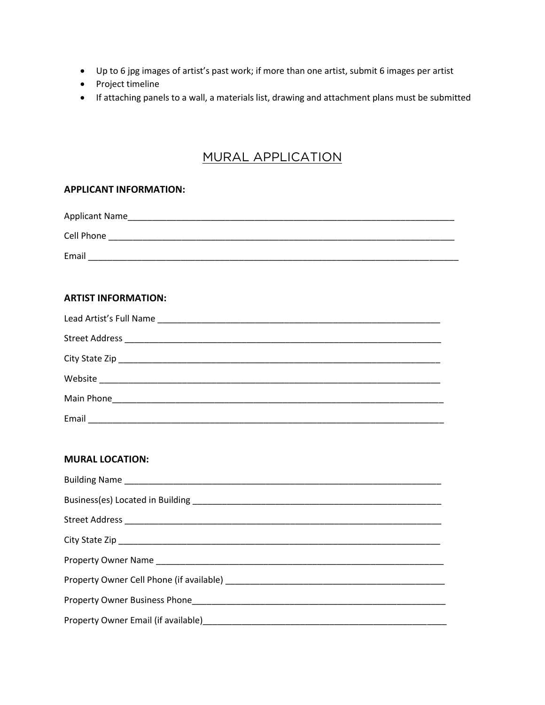- Up to 6 jpg images of artist's past work; if more than one artist, submit 6 images per artist
- Project timeline
- If attaching panels to a wall, a materials list, drawing and attachment plans must be submitted

# MURAL APPLICATION

#### **APPLICANT INFORMATION:**

| Applicant Name |
|----------------|
| Cell Phone     |
| Email          |

#### **ARTIST INFORMATION:**

| Email |
|-------|

#### **MURAL LOCATION:**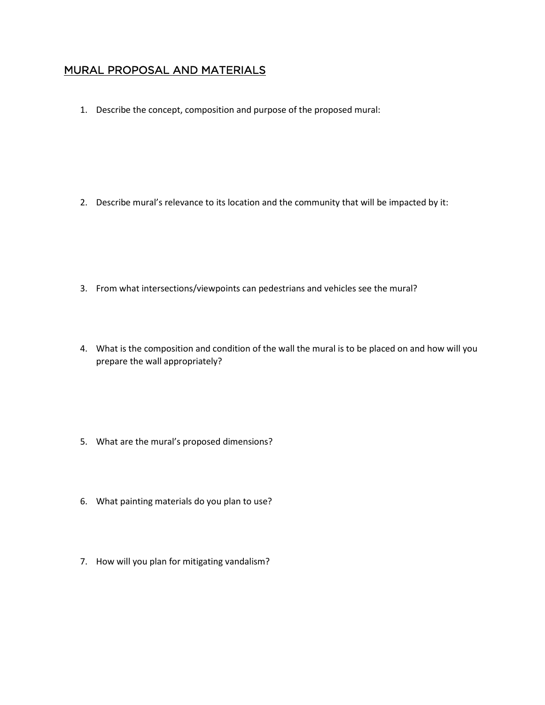# MURAL PROPOSAL AND MATERIALS

1. Describe the concept, composition and purpose of the proposed mural:

2. Describe mural's relevance to its location and the community that will be impacted by it:

- 3. From what intersections/viewpoints can pedestrians and vehicles see the mural?
- 4. What is the composition and condition of the wall the mural is to be placed on and how will you prepare the wall appropriately?
- 5. What are the mural's proposed dimensions?
- 6. What painting materials do you plan to use?
- 7. How will you plan for mitigating vandalism?